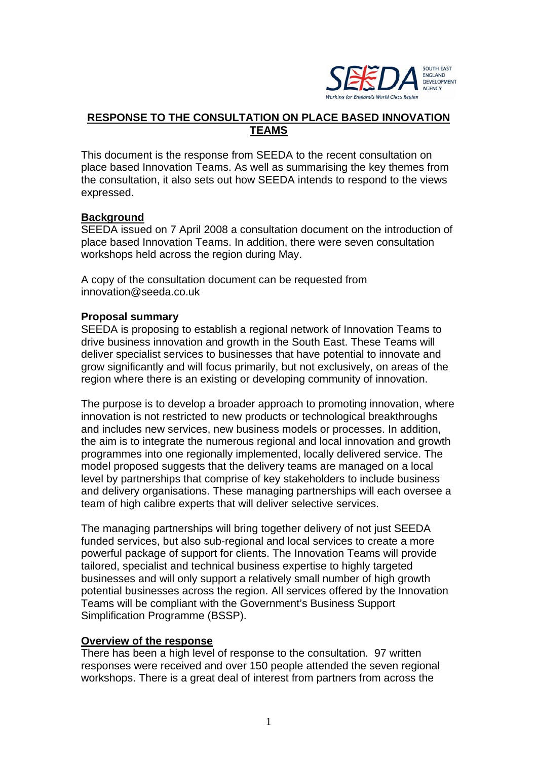

# **RESPONSE TO THE CONSULTATION ON PLACE BASED INNOVATION TEAMS**

This document is the response from SEEDA to the recent consultation on place based Innovation Teams. As well as summarising the key themes from the consultation, it also sets out how SEEDA intends to respond to the views expressed.

## **Background**

SEEDA issued on 7 April 2008 a consultation document on the introduction of place based Innovation Teams. In addition, there were seven consultation workshops held across the region during May.

A copy of the consultation document can be requested from innovation@seeda.co.uk

#### **Proposal summary**

SEEDA is proposing to establish a regional network of Innovation Teams to drive business innovation and growth in the South East. These Teams will deliver specialist services to businesses that have potential to innovate and grow significantly and will focus primarily, but not exclusively, on areas of the region where there is an existing or developing community of innovation.

The purpose is to develop a broader approach to promoting innovation, where innovation is not restricted to new products or technological breakthroughs and includes new services, new business models or processes. In addition, the aim is to integrate the numerous regional and local innovation and growth programmes into one regionally implemented, locally delivered service. The model proposed suggests that the delivery teams are managed on a local level by partnerships that comprise of key stakeholders to include business and delivery organisations. These managing partnerships will each oversee a team of high calibre experts that will deliver selective services.

The managing partnerships will bring together delivery of not just SEEDA funded services, but also sub-regional and local services to create a more powerful package of support for clients. The Innovation Teams will provide tailored, specialist and technical business expertise to highly targeted businesses and will only support a relatively small number of high growth potential businesses across the region. All services offered by the Innovation Teams will be compliant with the Government's Business Support Simplification Programme (BSSP).

#### **Overview of the response**

There has been a high level of response to the consultation. 97 written responses were received and over 150 people attended the seven regional workshops. There is a great deal of interest from partners from across the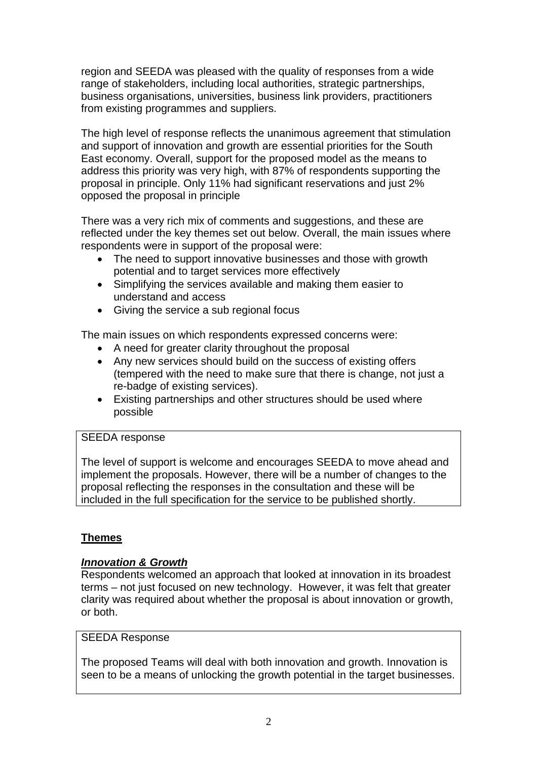region and SEEDA was pleased with the quality of responses from a wide range of stakeholders, including local authorities, strategic partnerships, business organisations, universities, business link providers, practitioners from existing programmes and suppliers.

The high level of response reflects the unanimous agreement that stimulation and support of innovation and growth are essential priorities for the South East economy. Overall, support for the proposed model as the means to address this priority was very high, with 87% of respondents supporting the proposal in principle. Only 11% had significant reservations and just 2% opposed the proposal in principle

There was a very rich mix of comments and suggestions, and these are reflected under the key themes set out below. Overall, the main issues where respondents were in support of the proposal were:

- The need to support innovative businesses and those with growth potential and to target services more effectively
- Simplifying the services available and making them easier to understand and access
- Giving the service a sub regional focus

The main issues on which respondents expressed concerns were:

- A need for greater clarity throughout the proposal
- Any new services should build on the success of existing offers (tempered with the need to make sure that there is change, not just a re-badge of existing services).
- Existing partnerships and other structures should be used where possible

## SEEDA response

The level of support is welcome and encourages SEEDA to move ahead and implement the proposals. However, there will be a number of changes to the proposal reflecting the responses in the consultation and these will be included in the full specification for the service to be published shortly.

# **Themes**

## *Innovation & Growth*

Respondents welcomed an approach that looked at innovation in its broadest terms – not just focused on new technology. However, it was felt that greater clarity was required about whether the proposal is about innovation or growth, or both.

# SEEDA Response

The proposed Teams will deal with both innovation and growth. Innovation is seen to be a means of unlocking the growth potential in the target businesses.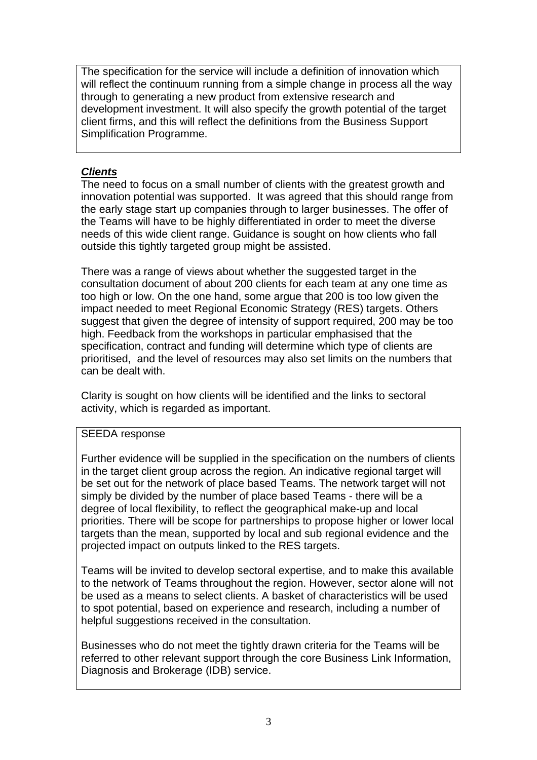The specification for the service will include a definition of innovation which will reflect the continuum running from a simple change in process all the way through to generating a new product from extensive research and development investment. It will also specify the growth potential of the target client firms, and this will reflect the definitions from the Business Support Simplification Programme.

# *Clients*

The need to focus on a small number of clients with the greatest growth and innovation potential was supported. It was agreed that this should range from the early stage start up companies through to larger businesses. The offer of the Teams will have to be highly differentiated in order to meet the diverse needs of this wide client range. Guidance is sought on how clients who fall outside this tightly targeted group might be assisted.

There was a range of views about whether the suggested target in the consultation document of about 200 clients for each team at any one time as too high or low. On the one hand, some argue that 200 is too low given the impact needed to meet Regional Economic Strategy (RES) targets. Others suggest that given the degree of intensity of support required, 200 may be too high. Feedback from the workshops in particular emphasised that the specification, contract and funding will determine which type of clients are prioritised, and the level of resources may also set limits on the numbers that can be dealt with.

Clarity is sought on how clients will be identified and the links to sectoral activity, which is regarded as important.

# SEEDA response

Further evidence will be supplied in the specification on the numbers of clients in the target client group across the region. An indicative regional target will be set out for the network of place based Teams. The network target will not simply be divided by the number of place based Teams - there will be a degree of local flexibility, to reflect the geographical make-up and local priorities. There will be scope for partnerships to propose higher or lower local targets than the mean, supported by local and sub regional evidence and the projected impact on outputs linked to the RES targets.

Teams will be invited to develop sectoral expertise, and to make this available to the network of Teams throughout the region. However, sector alone will not be used as a means to select clients. A basket of characteristics will be used to spot potential, based on experience and research, including a number of helpful suggestions received in the consultation.

Businesses who do not meet the tightly drawn criteria for the Teams will be referred to other relevant support through the core Business Link Information, Diagnosis and Brokerage (IDB) service.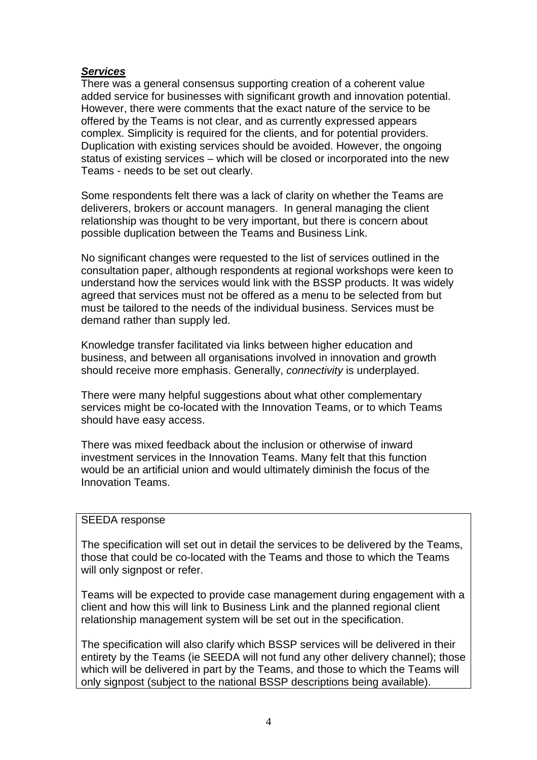## *Services*

There was a general consensus supporting creation of a coherent value added service for businesses with significant growth and innovation potential. However, there were comments that the exact nature of the service to be offered by the Teams is not clear, and as currently expressed appears complex. Simplicity is required for the clients, and for potential providers. Duplication with existing services should be avoided. However, the ongoing status of existing services – which will be closed or incorporated into the new Teams - needs to be set out clearly.

Some respondents felt there was a lack of clarity on whether the Teams are deliverers, brokers or account managers. In general managing the client relationship was thought to be very important, but there is concern about possible duplication between the Teams and Business Link.

No significant changes were requested to the list of services outlined in the consultation paper, although respondents at regional workshops were keen to understand how the services would link with the BSSP products. It was widely agreed that services must not be offered as a menu to be selected from but must be tailored to the needs of the individual business. Services must be demand rather than supply led.

Knowledge transfer facilitated via links between higher education and business, and between all organisations involved in innovation and growth should receive more emphasis. Generally, *connectivity* is underplayed.

There were many helpful suggestions about what other complementary services might be co-located with the Innovation Teams, or to which Teams should have easy access.

There was mixed feedback about the inclusion or otherwise of inward investment services in the Innovation Teams. Many felt that this function would be an artificial union and would ultimately diminish the focus of the Innovation Teams.

## SEEDA response

The specification will set out in detail the services to be delivered by the Teams, those that could be co-located with the Teams and those to which the Teams will only signpost or refer.

Teams will be expected to provide case management during engagement with a client and how this will link to Business Link and the planned regional client relationship management system will be set out in the specification.

The specification will also clarify which BSSP services will be delivered in their entirety by the Teams (ie SEEDA will not fund any other delivery channel); those which will be delivered in part by the Teams, and those to which the Teams will only signpost (subject to the national BSSP descriptions being available).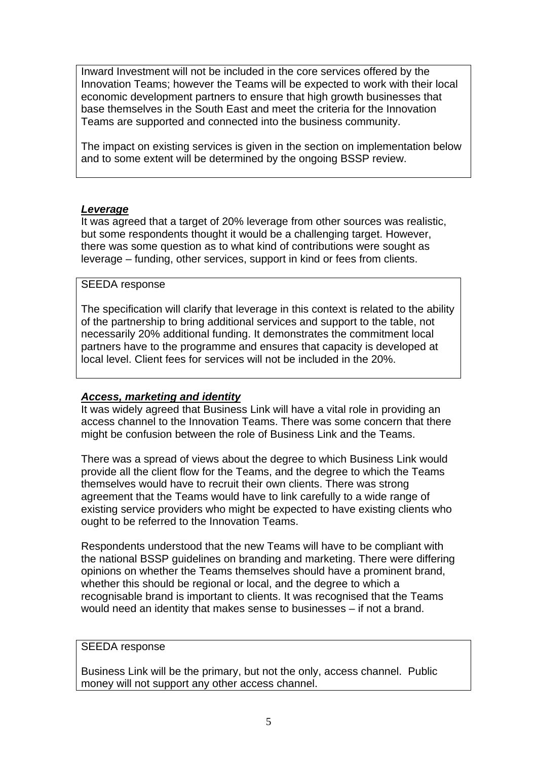Inward Investment will not be included in the core services offered by the Innovation Teams; however the Teams will be expected to work with their local economic development partners to ensure that high growth businesses that base themselves in the South East and meet the criteria for the Innovation Teams are supported and connected into the business community.

The impact on existing services is given in the section on implementation below and to some extent will be determined by the ongoing BSSP review.

# *Leverage*

It was agreed that a target of 20% leverage from other sources was realistic, but some respondents thought it would be a challenging target. However, there was some question as to what kind of contributions were sought as leverage – funding, other services, support in kind or fees from clients.

# SEEDA response

The specification will clarify that leverage in this context is related to the ability of the partnership to bring additional services and support to the table, not necessarily 20% additional funding. It demonstrates the commitment local partners have to the programme and ensures that capacity is developed at local level. Client fees for services will not be included in the 20%.

# *Access, marketing and identity*

It was widely agreed that Business Link will have a vital role in providing an access channel to the Innovation Teams. There was some concern that there might be confusion between the role of Business Link and the Teams.

There was a spread of views about the degree to which Business Link would provide all the client flow for the Teams, and the degree to which the Teams themselves would have to recruit their own clients. There was strong agreement that the Teams would have to link carefully to a wide range of existing service providers who might be expected to have existing clients who ought to be referred to the Innovation Teams.

Respondents understood that the new Teams will have to be compliant with the national BSSP guidelines on branding and marketing. There were differing opinions on whether the Teams themselves should have a prominent brand, whether this should be regional or local, and the degree to which a recognisable brand is important to clients. It was recognised that the Teams would need an identity that makes sense to businesses – if not a brand.

## SEEDA response

Business Link will be the primary, but not the only, access channel. Public money will not support any other access channel.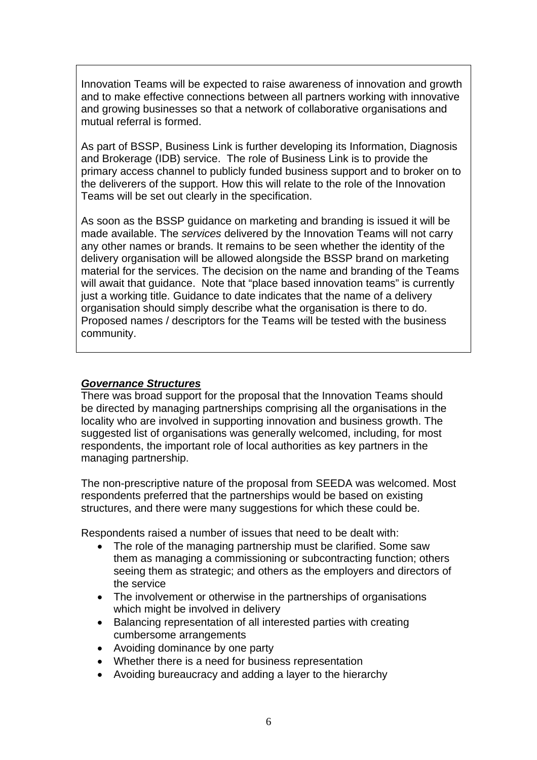Innovation Teams will be expected to raise awareness of innovation and growth and to make effective connections between all partners working with innovative and growing businesses so that a network of collaborative organisations and mutual referral is formed.

As part of BSSP, Business Link is further developing its Information, Diagnosis and Brokerage (IDB) service. The role of Business Link is to provide the primary access channel to publicly funded business support and to broker on to the deliverers of the support. How this will relate to the role of the Innovation Teams will be set out clearly in the specification.

As soon as the BSSP guidance on marketing and branding is issued it will be made available. The *services* delivered by the Innovation Teams will not carry any other names or brands. It remains to be seen whether the identity of the delivery organisation will be allowed alongside the BSSP brand on marketing material for the services. The decision on the name and branding of the Teams will await that quidance. Note that "place based innovation teams" is currently just a working title. Guidance to date indicates that the name of a delivery organisation should simply describe what the organisation is there to do. Proposed names / descriptors for the Teams will be tested with the business community.

## *Governance Structures*

There was broad support for the proposal that the Innovation Teams should be directed by managing partnerships comprising all the organisations in the locality who are involved in supporting innovation and business growth. The suggested list of organisations was generally welcomed, including, for most respondents, the important role of local authorities as key partners in the managing partnership.

The non-prescriptive nature of the proposal from SEEDA was welcomed. Most respondents preferred that the partnerships would be based on existing structures, and there were many suggestions for which these could be.

Respondents raised a number of issues that need to be dealt with:

- The role of the managing partnership must be clarified. Some saw them as managing a commissioning or subcontracting function; others seeing them as strategic; and others as the employers and directors of the service
- The involvement or otherwise in the partnerships of organisations which might be involved in delivery
- Balancing representation of all interested parties with creating cumbersome arrangements
- Avoiding dominance by one party
- Whether there is a need for business representation
- Avoiding bureaucracy and adding a layer to the hierarchy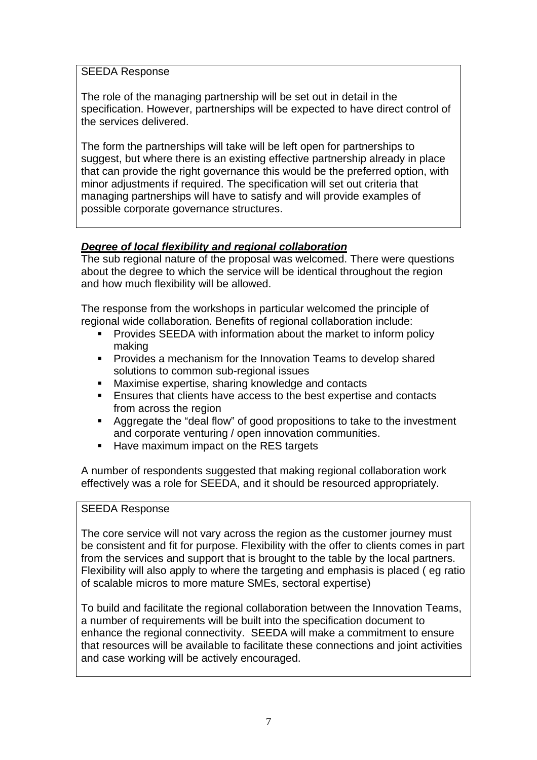# SEEDA Response

The role of the managing partnership will be set out in detail in the specification. However, partnerships will be expected to have direct control of the services delivered.

The form the partnerships will take will be left open for partnerships to suggest, but where there is an existing effective partnership already in place that can provide the right governance this would be the preferred option, with minor adjustments if required. The specification will set out criteria that managing partnerships will have to satisfy and will provide examples of possible corporate governance structures.

# *Degree of local flexibility and regional collaboration*

The sub regional nature of the proposal was welcomed. There were questions about the degree to which the service will be identical throughout the region and how much flexibility will be allowed.

The response from the workshops in particular welcomed the principle of regional wide collaboration. Benefits of regional collaboration include:

- Provides SEEDA with information about the market to inform policy making
- **Provides a mechanism for the Innovation Teams to develop shared** solutions to common sub-regional issues
- **Maximise expertise, sharing knowledge and contacts**
- Ensures that clients have access to the best expertise and contacts from across the region
- Aggregate the "deal flow" of good propositions to take to the investment and corporate venturing / open innovation communities.
- Have maximum impact on the RES targets

A number of respondents suggested that making regional collaboration work effectively was a role for SEEDA, and it should be resourced appropriately.

# SEEDA Response

The core service will not vary across the region as the customer journey must be consistent and fit for purpose. Flexibility with the offer to clients comes in part from the services and support that is brought to the table by the local partners. Flexibility will also apply to where the targeting and emphasis is placed ( eg ratio of scalable micros to more mature SMEs, sectoral expertise)

To build and facilitate the regional collaboration between the Innovation Teams, a number of requirements will be built into the specification document to enhance the regional connectivity. SEEDA will make a commitment to ensure that resources will be available to facilitate these connections and joint activities and case working will be actively encouraged.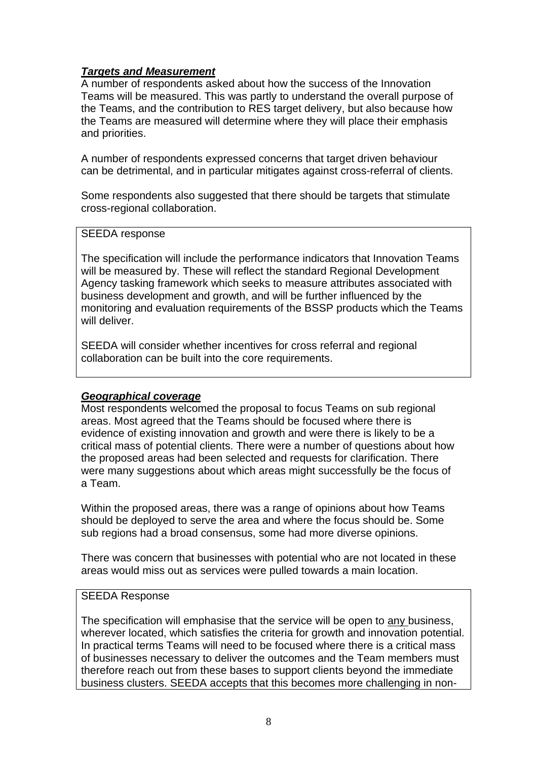# *Targets and Measurement*

A number of respondents asked about how the success of the Innovation Teams will be measured. This was partly to understand the overall purpose of the Teams, and the contribution to RES target delivery, but also because how the Teams are measured will determine where they will place their emphasis and priorities.

A number of respondents expressed concerns that target driven behaviour can be detrimental, and in particular mitigates against cross-referral of clients.

Some respondents also suggested that there should be targets that stimulate cross-regional collaboration.

#### SEEDA response

The specification will include the performance indicators that Innovation Teams will be measured by. These will reflect the standard Regional Development Agency tasking framework which seeks to measure attributes associated with business development and growth, and will be further influenced by the monitoring and evaluation requirements of the BSSP products which the Teams will deliver.

SEEDA will consider whether incentives for cross referral and regional collaboration can be built into the core requirements.

## *Geographical coverage*

Most respondents welcomed the proposal to focus Teams on sub regional areas. Most agreed that the Teams should be focused where there is evidence of existing innovation and growth and were there is likely to be a critical mass of potential clients. There were a number of questions about how the proposed areas had been selected and requests for clarification. There were many suggestions about which areas might successfully be the focus of a Team.

Within the proposed areas, there was a range of opinions about how Teams should be deployed to serve the area and where the focus should be. Some sub regions had a broad consensus, some had more diverse opinions.

There was concern that businesses with potential who are not located in these areas would miss out as services were pulled towards a main location.

## SEEDA Response

The specification will emphasise that the service will be open to any business, wherever located, which satisfies the criteria for growth and innovation potential. In practical terms Teams will need to be focused where there is a critical mass of businesses necessary to deliver the outcomes and the Team members must therefore reach out from these bases to support clients beyond the immediate business clusters. SEEDA accepts that this becomes more challenging in non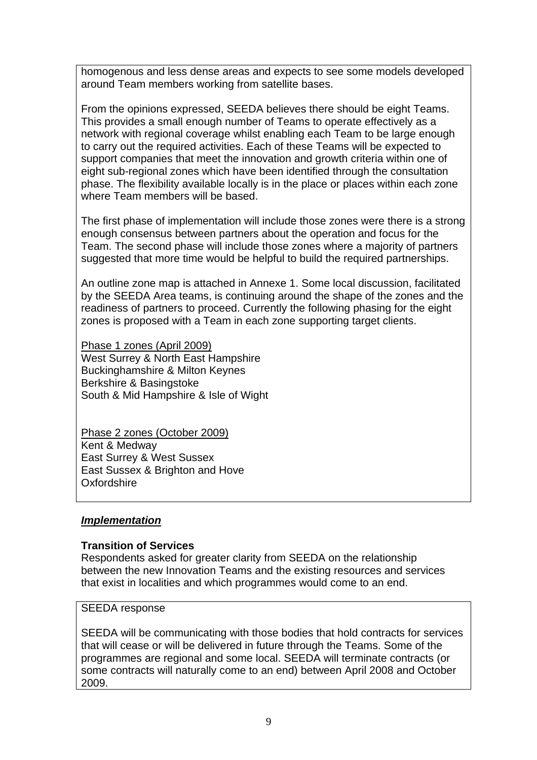homogenous and less dense areas and expects to see some models developed around Team members working from satellite bases.

From the opinions expressed, SEEDA believes there should be eight Teams. This provides a small enough number of Teams to operate effectively as a network with regional coverage whilst enabling each Team to be large enough to carry out the required activities. Each of these Teams will be expected to support companies that meet the innovation and growth criteria within one of eight sub-regional zones which have been identified through the consultation phase. The flexibility available locally is in the place or places within each zone where Team members will be based.

The first phase of implementation will include those zones were there is a strong enough consensus between partners about the operation and focus for the Team. The second phase will include those zones where a majority of partners suggested that more time would be helpful to build the required partnerships.

An outline zone map is attached in Annexe 1. Some local discussion, facilitated by the SEEDA Area teams, is continuing around the shape of the zones and the readiness of partners to proceed. Currently the following phasing for the eight zones is proposed with a Team in each zone supporting target clients.

Phase 1 zones (April 2009) West Surrey & North East Hampshire Buckinghamshire & Milton Keynes Berkshire & Basingstoke South & Mid Hampshire & Isle of Wight

Phase 2 zones (October 2009) Kent & Medway East Surrey & West Sussex East Sussex & Brighton and Hove Oxfordshire

# *Implementation*

## **Transition of Services**

Respondents asked for greater clarity from SEEDA on the relationship between the new Innovation Teams and the existing resources and services that exist in localities and which programmes would come to an end.

## SEEDA response

SEEDA will be communicating with those bodies that hold contracts for services that will cease or will be delivered in future through the Teams. Some of the programmes are regional and some local. SEEDA will terminate contracts (or some contracts will naturally come to an end) between April 2008 and October 2009.